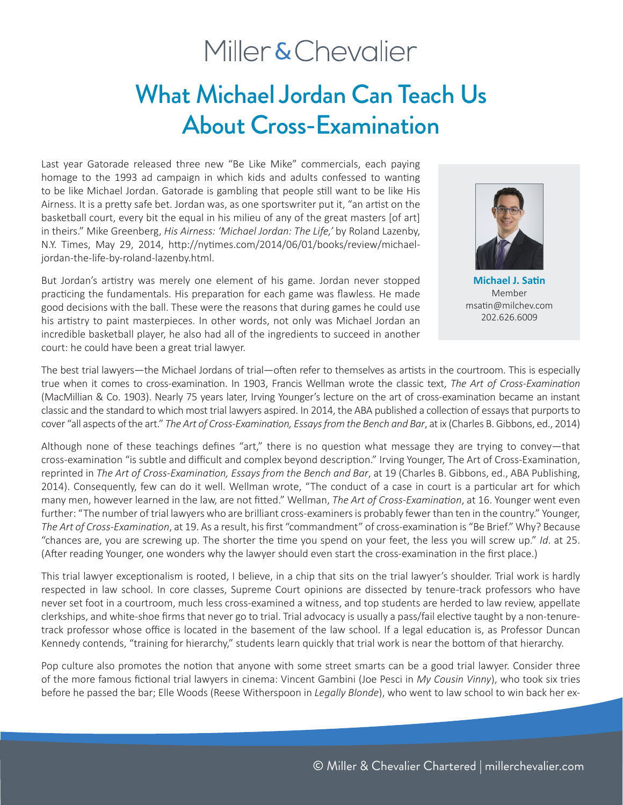# Miller & Chevalier

# What Michael Jordan Can Teach Us About Cross-Examination

Last year Gatorade released three new "Be Like Mike" commercials, each paying homage to the 1993 ad campaign in which kids and adults confessed to wanting to be like Michael Jordan. Gatorade is gambling that people still want to be like His Airness. It is a pretty safe bet. Jordan was, as one sportswriter put it, "an artist on the basketball court, every bit the equal in his milieu of any of the great masters [of art] in theirs." Mike Greenberg, *His Airness: 'Michael Jordan: The Life,'* by Roland Lazenby, N.Y. Times, May 29, 2014, http://nytimes.com/2014/06/01/books/review/michaeljordan-the-life-by-roland-lazenby.html.

But Jordan's artistry was merely one element of his game. Jordan never stopped practicing the fundamentals. His preparation for each game was flawless. He made good decisions with the ball. These were the reasons that during games he could use his artistry to paint masterpieces. In other words, not only was Michael Jordan an incredible basketball player, he also had all of the ingredients to succeed in another court: he could have been a great trial lawyer.



**Michael J. Satin** Member msatin@milchev.com 202.626.6009

The best trial lawyers—the Michael Jordans of trial—often refer to themselves as artists in the courtroom. This is especially true when it comes to cross-examination. In 1903, Francis Wellman wrote the classic text, *The Art of Cross-Examination* (MacMillian & Co. 1903). Nearly 75 years later, Irving Younger's lecture on the art of cross-examination became an instant classic and the standard to which most trial lawyers aspired. In 2014, the ABA published a collection of essays that purports to cover "all aspects of the art." *The Art of Cross-Examination, Essays from the Bench and Bar*, at ix (Charles B. Gibbons, ed., 2014)

Although none of these teachings defines "art," there is no question what message they are trying to convey—that cross-examination "is subtle and difficult and complex beyond description." Irving Younger, The Art of Cross-Examination, reprinted in *The Art of Cross-Examination, Essays from the Bench and Bar*, at 19 (Charles B. Gibbons, ed., ABA Publishing, 2014). Consequently, few can do it well. Wellman wrote, "The conduct of a case in court is a particular art for which many men, however learned in the law, are not fitted." Wellman, *The Art of Cross-Examination*, at 16. Younger went even further: "The number of trial lawyers who are brilliant cross-examiners is probably fewer than ten in the country." Younger, *The Art of Cross-Examination*, at 19. As a result, his first "commandment" of cross-examination is "Be Brief." Why? Because "chances are, you are screwing up. The shorter the time you spend on your feet, the less you will screw up." *Id*. at 25. (After reading Younger, one wonders why the lawyer should even start the cross-examination in the first place.)

This trial lawyer exceptionalism is rooted, I believe, in a chip that sits on the trial lawyer's shoulder. Trial work is hardly respected in law school. In core classes, Supreme Court opinions are dissected by tenure-track professors who have never set foot in a courtroom, much less cross-examined a witness, and top students are herded to law review, appellate clerkships, and white-shoe firms that never go to trial. Trial advocacy is usually a pass/fail elective taught by a non-tenuretrack professor whose office is located in the basement of the law school. If a legal education is, as Professor Duncan Kennedy contends, "training for hierarchy," students learn quickly that trial work is near the bottom of that hierarchy.

Pop culture also promotes the notion that anyone with some street smarts can be a good trial lawyer. Consider three of the more famous fictional trial lawyers in cinema: Vincent Gambini (Joe Pesci in *My Cousin Vinny*), who took six tries before he passed the bar; Elle Woods (Reese Witherspoon in *Legally Blonde*), who went to law school to win back her ex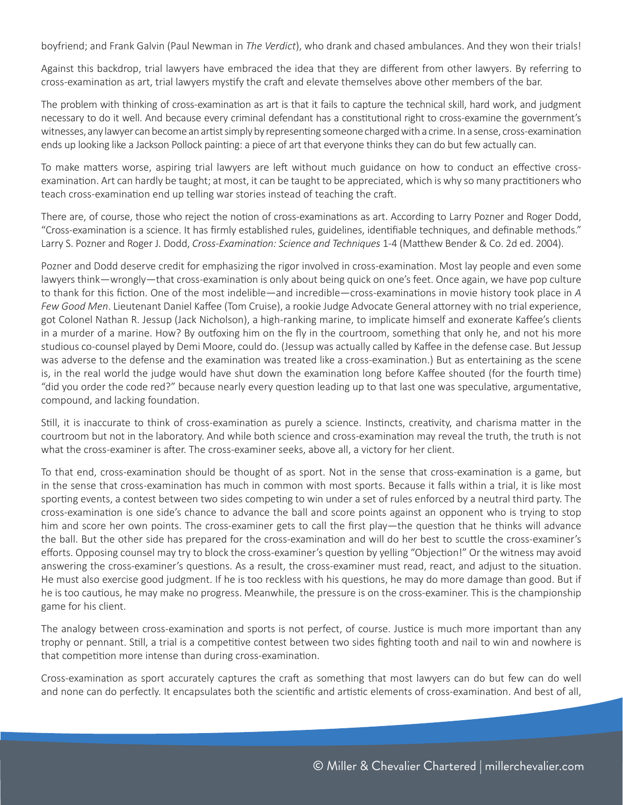boyfriend; and Frank Galvin (Paul Newman in *The Verdict*), who drank and chased ambulances. And they won their trials!

Against this backdrop, trial lawyers have embraced the idea that they are different from other lawyers. By referring to cross-examination as art, trial lawyers mystify the craft and elevate themselves above other members of the bar.

The problem with thinking of cross-examination as art is that it fails to capture the technical skill, hard work, and judgment necessary to do it well. And because every criminal defendant has a constitutional right to cross-examine the government's witnesses, any lawyer can become an artist simply by representing someone charged with a crime. In a sense, cross-examination ends up looking like a Jackson Pollock painting: a piece of art that everyone thinks they can do but few actually can.

To make matters worse, aspiring trial lawyers are left without much guidance on how to conduct an effective crossexamination. Art can hardly be taught; at most, it can be taught to be appreciated, which is why so many practitioners who teach cross-examination end up telling war stories instead of teaching the craft.

There are, of course, those who reject the notion of cross-examinations as art. According to Larry Pozner and Roger Dodd, "Cross-examination is a science. It has firmly established rules, guidelines, identifiable techniques, and definable methods." Larry S. Pozner and Roger J. Dodd, *Cross-Examination: Science and Techniques* 1-4 (Matthew Bender & Co. 2d ed. 2004).

Pozner and Dodd deserve credit for emphasizing the rigor involved in cross-examination. Most lay people and even some lawyers think—wrongly—that cross-examination is only about being quick on one's feet. Once again, we have pop culture to thank for this fiction. One of the most indelible—and incredible—cross-examinations in movie history took place in *A Few Good Men*. Lieutenant Daniel Kaffee (Tom Cruise), a rookie Judge Advocate General attorney with no trial experience, got Colonel Nathan R. Jessup (Jack Nicholson), a high-ranking marine, to implicate himself and exonerate Kaffee's clients in a murder of a marine. How? By outfoxing him on the fly in the courtroom, something that only he, and not his more studious co-counsel played by Demi Moore, could do. (Jessup was actually called by Kaffee in the defense case. But Jessup was adverse to the defense and the examination was treated like a cross-examination.) But as entertaining as the scene is, in the real world the judge would have shut down the examination long before Kaffee shouted (for the fourth time) "did you order the code red?" because nearly every question leading up to that last one was speculative, argumentative, compound, and lacking foundation.

Still, it is inaccurate to think of cross-examination as purely a science. Instincts, creativity, and charisma matter in the courtroom but not in the laboratory. And while both science and cross-examination may reveal the truth, the truth is not what the cross-examiner is after. The cross-examiner seeks, above all, a victory for her client.

To that end, cross-examination should be thought of as sport. Not in the sense that cross-examination is a game, but in the sense that cross-examination has much in common with most sports. Because it falls within a trial, it is like most sporting events, a contest between two sides competing to win under a set of rules enforced by a neutral third party. The cross-examination is one side's chance to advance the ball and score points against an opponent who is trying to stop him and score her own points. The cross-examiner gets to call the first play—the question that he thinks will advance the ball. But the other side has prepared for the cross-examination and will do her best to scuttle the cross-examiner's efforts. Opposing counsel may try to block the cross-examiner's question by yelling "Objection!" Or the witness may avoid answering the cross-examiner's questions. As a result, the cross-examiner must read, react, and adjust to the situation. He must also exercise good judgment. If he is too reckless with his questions, he may do more damage than good. But if he is too cautious, he may make no progress. Meanwhile, the pressure is on the cross-examiner. This is the championship game for his client.

The analogy between cross-examination and sports is not perfect, of course. Justice is much more important than any trophy or pennant. Still, a trial is a competitive contest between two sides fighting tooth and nail to win and nowhere is that competition more intense than during cross-examination.

Cross-examination as sport accurately captures the craft as something that most lawyers can do but few can do well and none can do perfectly. It encapsulates both the scientific and artistic elements of cross-examination. And best of all,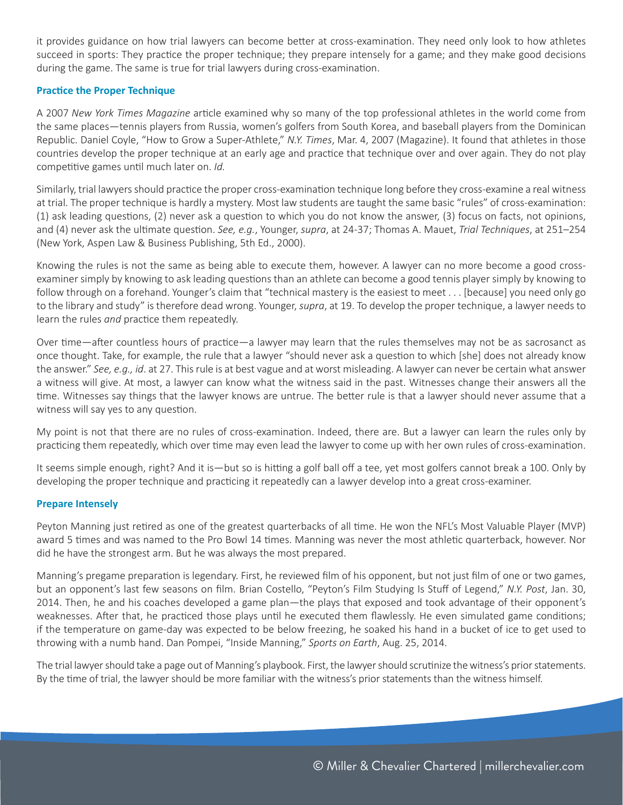it provides guidance on how trial lawyers can become better at cross-examination. They need only look to how athletes succeed in sports: They practice the proper technique; they prepare intensely for a game; and they make good decisions during the game. The same is true for trial lawyers during cross-examination.

## **Practice the Proper Technique**

A 2007 *New York Times Magazine* article examined why so many of the top professional athletes in the world come from the same places—tennis players from Russia, women's golfers from South Korea, and baseball players from the Dominican Republic. Daniel Coyle, "How to Grow a Super-Athlete," *N.Y. Times*, Mar. 4, 2007 (Magazine). It found that athletes in those countries develop the proper technique at an early age and practice that technique over and over again. They do not play competitive games until much later on. *Id.* 

Similarly, trial lawyers should practice the proper cross-examination technique long before they cross-examine a real witness at trial. The proper technique is hardly a mystery. Most law students are taught the same basic "rules" of cross-examination: (1) ask leading questions, (2) never ask a question to which you do not know the answer, (3) focus on facts, not opinions, and (4) never ask the ultimate question. *See, e.g.*, Younger, *supra*, at 24-37; Thomas A. Mauet, *Trial Techniques*, at 251–254 (New York, Aspen Law & Business Publishing, 5th Ed., 2000).

Knowing the rules is not the same as being able to execute them, however. A lawyer can no more become a good crossexaminer simply by knowing to ask leading questions than an athlete can become a good tennis player simply by knowing to follow through on a forehand. Younger's claim that "technical mastery is the easiest to meet . . . [because] you need only go to the library and study" is therefore dead wrong. Younger, *supra*, at 19. To develop the proper technique, a lawyer needs to learn the rules *and* practice them repeatedly.

Over time—after countless hours of practice—a lawyer may learn that the rules themselves may not be as sacrosanct as once thought. Take, for example, the rule that a lawyer "should never ask a question to which [she] does not already know the answer." *See, e.g., id*. at 27. This rule is at best vague and at worst misleading. A lawyer can never be certain what answer a witness will give. At most, a lawyer can know what the witness said in the past. Witnesses change their answers all the time. Witnesses say things that the lawyer knows are untrue. The better rule is that a lawyer should never assume that a witness will say yes to any question.

My point is not that there are no rules of cross-examination. Indeed, there are. But a lawyer can learn the rules only by practicing them repeatedly, which over time may even lead the lawyer to come up with her own rules of cross-examination.

It seems simple enough, right? And it is—but so is hitting a golf ball off a tee, yet most golfers cannot break a 100. Only by developing the proper technique and practicing it repeatedly can a lawyer develop into a great cross-examiner.

### **Prepare Intensely**

Peyton Manning just retired as one of the greatest quarterbacks of all time. He won the NFL's Most Valuable Player (MVP) award 5 times and was named to the Pro Bowl 14 times. Manning was never the most athletic quarterback, however. Nor did he have the strongest arm. But he was always the most prepared.

Manning's pregame preparation is legendary. First, he reviewed film of his opponent, but not just film of one or two games, but an opponent's last few seasons on film. Brian Costello, "Peyton's Film Studying Is Stuff of Legend," *N.Y. Post*, Jan. 30, 2014. Then, he and his coaches developed a game plan—the plays that exposed and took advantage of their opponent's weaknesses. After that, he practiced those plays until he executed them flawlessly. He even simulated game conditions; if the temperature on game-day was expected to be below freezing, he soaked his hand in a bucket of ice to get used to throwing with a numb hand. Dan Pompei, "Inside Manning," *Sports on Earth*, Aug. 25, 2014.

The trial lawyer should take a page out of Manning's playbook. First, the lawyer should scrutinize the witness's prior statements. By the time of trial, the lawyer should be more familiar with the witness's prior statements than the witness himself.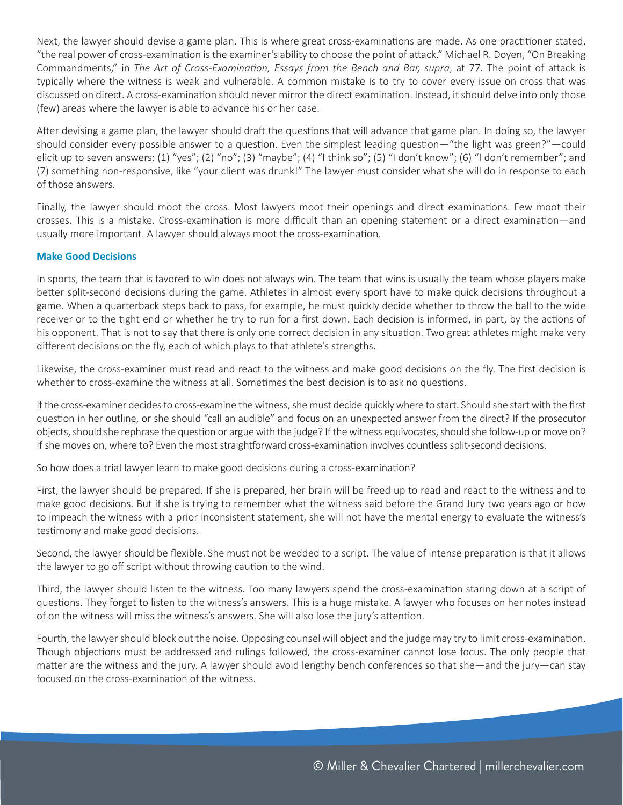Next, the lawyer should devise a game plan. This is where great cross-examinations are made. As one practitioner stated, "the real power of cross-examination is the examiner's ability to choose the point of attack." Michael R. Doyen, "On Breaking Commandments," in *The Art of Cross-Examination, Essays from the Bench and Bar, supra*, at 77. The point of attack is typically where the witness is weak and vulnerable. A common mistake is to try to cover every issue on cross that was discussed on direct. A cross-examination should never mirror the direct examination. Instead, it should delve into only those (few) areas where the lawyer is able to advance his or her case.

After devising a game plan, the lawyer should draft the questions that will advance that game plan. In doing so, the lawyer should consider every possible answer to a question. Even the simplest leading question—"the light was green?"—could elicit up to seven answers: (1) "yes"; (2) "no"; (3) "maybe"; (4) "I think so"; (5) "I don't know"; (6) "I don't remember"; and (7) something non-responsive, like "your client was drunk!" The lawyer must consider what she will do in response to each of those answers.

Finally, the lawyer should moot the cross. Most lawyers moot their openings and direct examinations. Few moot their crosses. This is a mistake. Cross-examination is more difficult than an opening statement or a direct examination—and usually more important. A lawyer should always moot the cross-examination.

### **Make Good Decisions**

In sports, the team that is favored to win does not always win. The team that wins is usually the team whose players make better split-second decisions during the game. Athletes in almost every sport have to make quick decisions throughout a game. When a quarterback steps back to pass, for example, he must quickly decide whether to throw the ball to the wide receiver or to the tight end or whether he try to run for a first down. Each decision is informed, in part, by the actions of his opponent. That is not to say that there is only one correct decision in any situation. Two great athletes might make very different decisions on the fly, each of which plays to that athlete's strengths.

Likewise, the cross-examiner must read and react to the witness and make good decisions on the fly. The first decision is whether to cross-examine the witness at all. Sometimes the best decision is to ask no questions.

If the cross-examiner decides to cross-examine the witness, she must decide quickly where to start. Should she start with the first question in her outline, or she should "call an audible" and focus on an unexpected answer from the direct? If the prosecutor objects, should she rephrase the question or argue with the judge? If the witness equivocates, should she follow-up or move on? If she moves on, where to? Even the most straightforward cross-examination involves countless split-second decisions.

So how does a trial lawyer learn to make good decisions during a cross-examination?

First, the lawyer should be prepared. If she is prepared, her brain will be freed up to read and react to the witness and to make good decisions. But if she is trying to remember what the witness said before the Grand Jury two years ago or how to impeach the witness with a prior inconsistent statement, she will not have the mental energy to evaluate the witness's testimony and make good decisions.

Second, the lawyer should be flexible. She must not be wedded to a script. The value of intense preparation is that it allows the lawyer to go off script without throwing caution to the wind.

Third, the lawyer should listen to the witness. Too many lawyers spend the cross-examination staring down at a script of questions. They forget to listen to the witness's answers. This is a huge mistake. A lawyer who focuses on her notes instead of on the witness will miss the witness's answers. She will also lose the jury's attention.

Fourth, the lawyer should block out the noise. Opposing counsel will object and the judge may try to limit cross-examination. Though objections must be addressed and rulings followed, the cross-examiner cannot lose focus. The only people that matter are the witness and the jury. A lawyer should avoid lengthy bench conferences so that she—and the jury—can stay focused on the cross-examination of the witness.